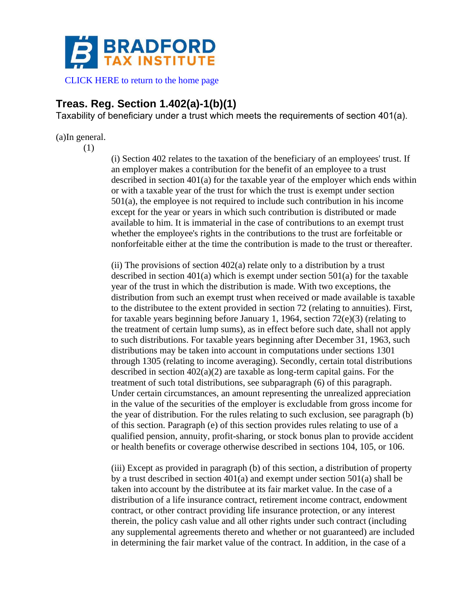

[CLICK HERE to return to the home page](https://www.bradfordtaxinstitute.com)

# **Treas. Reg. Section 1.402(a)-1(b)(1)**

Taxability of beneficiary under a trust which meets the requirements of section 401(a).

## (a)In general.

(1)

(i) Section 402 relates to the taxation of the beneficiary of an employees' trust. If an employer makes a contribution for the benefit of an employee to a trust described in section  $401(a)$  for the taxable year of the employer which ends within or with a taxable year of the trust for which the trust is exempt under section 501(a), the employee is not required to include such contribution in his income except for the year or years in which such contribution is distributed or made available to him. It is immaterial in the case of contributions to an exempt trust whether the employee's rights in the contributions to the trust are forfeitable or nonforfeitable either at the time the contribution is made to the trust or thereafter.

(ii) The provisions of section 402(a) relate only to a distribution by a trust described in section 401(a) which is exempt under section 501(a) for the taxable year of the trust in which the distribution is made. With two exceptions, the distribution from such an exempt trust when received or made available is taxable to the distributee to the extent provided in section 72 (relating to annuities). First, for taxable years beginning before January 1, 1964, section 72(e)(3) (relating to the treatment of certain lump sums), as in effect before such date, shall not apply to such distributions. For taxable years beginning after December 31, 1963, such distributions may be taken into account in computations under sections 1301 through 1305 (relating to income averaging). Secondly, certain total distributions described in section 402(a)(2) are taxable as long-term capital gains. For the treatment of such total distributions, see subparagraph (6) of this paragraph. Under certain circumstances, an amount representing the unrealized appreciation in the value of the securities of the employer is excludable from gross income for the year of distribution. For the rules relating to such exclusion, see paragraph (b) of this section. Paragraph (e) of this section provides rules relating to use of a qualified pension, annuity, profit-sharing, or stock bonus plan to provide accident or health benefits or coverage otherwise described in sections 104, 105, or 106.

(iii) Except as provided in paragraph (b) of this section, a distribution of property by a trust described in section 401(a) and exempt under section 501(a) shall be taken into account by the distributee at its fair market value. In the case of a distribution of a life insurance contract, retirement income contract, endowment contract, or other contract providing life insurance protection, or any interest therein, the policy cash value and all other rights under such contract (including any supplemental agreements thereto and whether or not guaranteed) are included in determining the fair market value of the contract. In addition, in the case of a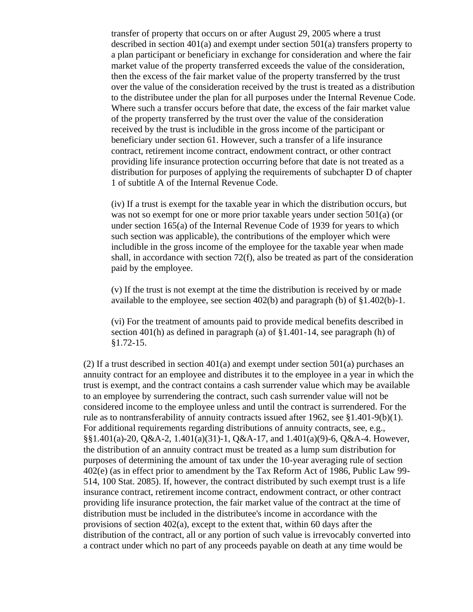transfer of property that occurs on or after August 29, 2005 where a trust described in section 401(a) and exempt under section 501(a) transfers property to a plan participant or beneficiary in exchange for consideration and where the fair market value of the property transferred exceeds the value of the consideration, then the excess of the fair market value of the property transferred by the trust over the value of the consideration received by the trust is treated as a distribution to the distributee under the plan for all purposes under the Internal Revenue Code. Where such a transfer occurs before that date, the excess of the fair market value of the property transferred by the trust over the value of the consideration received by the trust is includible in the gross income of the participant or beneficiary under section 61. However, such a transfer of a life insurance contract, retirement income contract, endowment contract, or other contract providing life insurance protection occurring before that date is not treated as a distribution for purposes of applying the requirements of subchapter D of chapter 1 of subtitle A of the Internal Revenue Code.

(iv) If a trust is exempt for the taxable year in which the distribution occurs, but was not so exempt for one or more prior taxable years under section 501(a) (or under section 165(a) of the Internal Revenue Code of 1939 for years to which such section was applicable), the contributions of the employer which were includible in the gross income of the employee for the taxable year when made shall, in accordance with section 72(f), also be treated as part of the consideration paid by the employee.

(v) If the trust is not exempt at the time the distribution is received by or made available to the employee, see section 402(b) and paragraph (b) of §1.402(b)-1.

(vi) For the treatment of amounts paid to provide medical benefits described in section 401(h) as defined in paragraph (a) of §1.401-14, see paragraph (h) of §1.72-15.

(2) If a trust described in section  $401(a)$  and exempt under section  $501(a)$  purchases an annuity contract for an employee and distributes it to the employee in a year in which the trust is exempt, and the contract contains a cash surrender value which may be available to an employee by surrendering the contract, such cash surrender value will not be considered income to the employee unless and until the contract is surrendered. For the rule as to nontransferability of annuity contracts issued after 1962, see  $$1.401-9(b)(1)$ . For additional requirements regarding distributions of annuity contracts, see, e.g., §§1.401(a)-20, Q&A-2, 1.401(a)(31)-1, Q&A-17, and 1.401(a)(9)-6, Q&A-4. However, the distribution of an annuity contract must be treated as a lump sum distribution for purposes of determining the amount of tax under the 10-year averaging rule of section 402(e) (as in effect prior to amendment by the Tax Reform Act of 1986, Public Law 99- 514, 100 Stat. 2085). If, however, the contract distributed by such exempt trust is a life insurance contract, retirement income contract, endowment contract, or other contract providing life insurance protection, the fair market value of the contract at the time of distribution must be included in the distributee's income in accordance with the provisions of section 402(a), except to the extent that, within 60 days after the distribution of the contract, all or any portion of such value is irrevocably converted into a contract under which no part of any proceeds payable on death at any time would be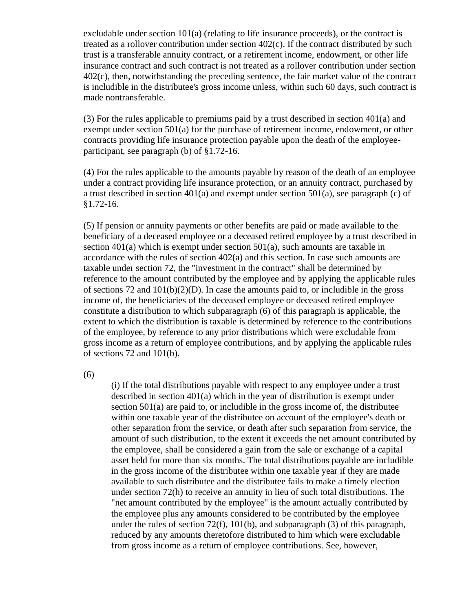excludable under section 101(a) (relating to life insurance proceeds), or the contract is treated as a rollover contribution under section 402(c). If the contract distributed by such trust is a transferable annuity contract, or a retirement income, endowment, or other life insurance contract and such contract is not treated as a rollover contribution under section 402(c), then, notwithstanding the preceding sentence, the fair market value of the contract is includible in the distributee's gross income unless, within such 60 days, such contract is made nontransferable.

(3) For the rules applicable to premiums paid by a trust described in section 401(a) and exempt under section 501(a) for the purchase of retirement income, endowment, or other contracts providing life insurance protection payable upon the death of the employeeparticipant, see paragraph (b) of §1.72-16.

(4) For the rules applicable to the amounts payable by reason of the death of an employee under a contract providing life insurance protection, or an annuity contract, purchased by a trust described in section 401(a) and exempt under section 501(a), see paragraph (c) of §1.72-16.

(5) If pension or annuity payments or other benefits are paid or made available to the beneficiary of a deceased employee or a deceased retired employee by a trust described in section 401(a) which is exempt under section 501(a), such amounts are taxable in accordance with the rules of section 402(a) and this section. In case such amounts are taxable under section 72, the "investment in the contract" shall be determined by reference to the amount contributed by the employee and by applying the applicable rules of sections 72 and 101(b)(2)(D). In case the amounts paid to, or includible in the gross income of, the beneficiaries of the deceased employee or deceased retired employee constitute a distribution to which subparagraph (6) of this paragraph is applicable, the extent to which the distribution is taxable is determined by reference to the contributions of the employee, by reference to any prior distributions which were excludable from gross income as a return of employee contributions, and by applying the applicable rules of sections 72 and 101(b).

(6)

(i) If the total distributions payable with respect to any employee under a trust described in section 401(a) which in the year of distribution is exempt under section 501(a) are paid to, or includible in the gross income of, the distributee within one taxable year of the distributee on account of the employee's death or other separation from the service, or death after such separation from service, the amount of such distribution, to the extent it exceeds the net amount contributed by the employee, shall be considered a gain from the sale or exchange of a capital asset held for more than six months. The total distributions payable are includible in the gross income of the distributee within one taxable year if they are made available to such distributee and the distributee fails to make a timely election under section 72(h) to receive an annuity in lieu of such total distributions. The "net amount contributed by the employee" is the amount actually contributed by the employee plus any amounts considered to be contributed by the employee under the rules of section  $72(f)$ ,  $101(b)$ , and subparagraph  $(3)$  of this paragraph, reduced by any amounts theretofore distributed to him which were excludable from gross income as a return of employee contributions. See, however,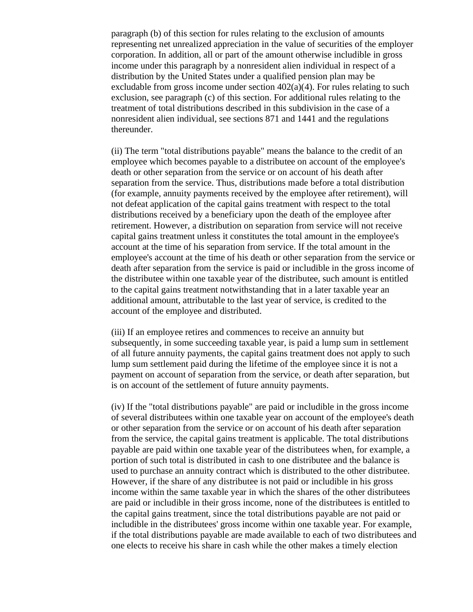paragraph (b) of this section for rules relating to the exclusion of amounts representing net unrealized appreciation in the value of securities of the employer corporation. In addition, all or part of the amount otherwise includible in gross income under this paragraph by a nonresident alien individual in respect of a distribution by the United States under a qualified pension plan may be excludable from gross income under section  $402(a)(4)$ . For rules relating to such exclusion, see paragraph (c) of this section. For additional rules relating to the treatment of total distributions described in this subdivision in the case of a nonresident alien individual, see sections 871 and 1441 and the regulations thereunder.

(ii) The term "total distributions payable" means the balance to the credit of an employee which becomes payable to a distributee on account of the employee's death or other separation from the service or on account of his death after separation from the service. Thus, distributions made before a total distribution (for example, annuity payments received by the employee after retirement), will not defeat application of the capital gains treatment with respect to the total distributions received by a beneficiary upon the death of the employee after retirement. However, a distribution on separation from service will not receive capital gains treatment unless it constitutes the total amount in the employee's account at the time of his separation from service. If the total amount in the employee's account at the time of his death or other separation from the service or death after separation from the service is paid or includible in the gross income of the distributee within one taxable year of the distributee, such amount is entitled to the capital gains treatment notwithstanding that in a later taxable year an additional amount, attributable to the last year of service, is credited to the account of the employee and distributed.

(iii) If an employee retires and commences to receive an annuity but subsequently, in some succeeding taxable year, is paid a lump sum in settlement of all future annuity payments, the capital gains treatment does not apply to such lump sum settlement paid during the lifetime of the employee since it is not a payment on account of separation from the service, or death after separation, but is on account of the settlement of future annuity payments.

(iv) If the "total distributions payable" are paid or includible in the gross income of several distributees within one taxable year on account of the employee's death or other separation from the service or on account of his death after separation from the service, the capital gains treatment is applicable. The total distributions payable are paid within one taxable year of the distributees when, for example, a portion of such total is distributed in cash to one distributee and the balance is used to purchase an annuity contract which is distributed to the other distributee. However, if the share of any distributee is not paid or includible in his gross income within the same taxable year in which the shares of the other distributees are paid or includible in their gross income, none of the distributees is entitled to the capital gains treatment, since the total distributions payable are not paid or includible in the distributees' gross income within one taxable year. For example, if the total distributions payable are made available to each of two distributees and one elects to receive his share in cash while the other makes a timely election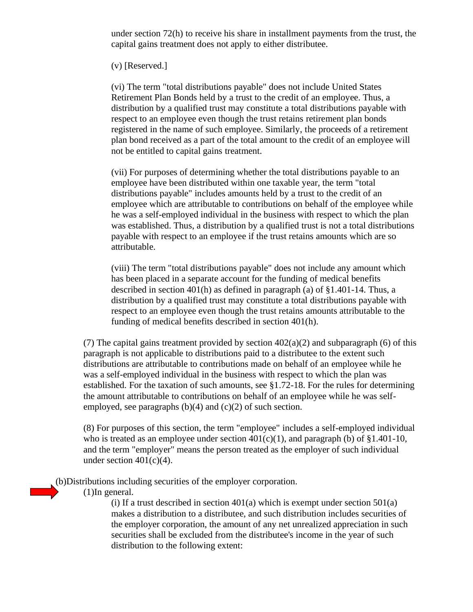under section 72(h) to receive his share in installment payments from the trust, the capital gains treatment does not apply to either distributee.

#### (v) [Reserved.]

(vi) The term "total distributions payable" does not include United States Retirement Plan Bonds held by a trust to the credit of an employee. Thus, a distribution by a qualified trust may constitute a total distributions payable with respect to an employee even though the trust retains retirement plan bonds registered in the name of such employee. Similarly, the proceeds of a retirement plan bond received as a part of the total amount to the credit of an employee will not be entitled to capital gains treatment.

(vii) For purposes of determining whether the total distributions payable to an employee have been distributed within one taxable year, the term "total distributions payable" includes amounts held by a trust to the credit of an employee which are attributable to contributions on behalf of the employee while he was a self-employed individual in the business with respect to which the plan was established. Thus, a distribution by a qualified trust is not a total distributions payable with respect to an employee if the trust retains amounts which are so attributable.

(viii) The term "total distributions payable" does not include any amount which has been placed in a separate account for the funding of medical benefits described in section 401(h) as defined in paragraph (a) of §1.401-14. Thus, a distribution by a qualified trust may constitute a total distributions payable with respect to an employee even though the trust retains amounts attributable to the funding of medical benefits described in section 401(h).

(7) The capital gains treatment provided by section  $402(a)(2)$  and subparagraph (6) of this paragraph is not applicable to distributions paid to a distributee to the extent such distributions are attributable to contributions made on behalf of an employee while he was a self-employed individual in the business with respect to which the plan was established. For the taxation of such amounts, see §1.72-18. For the rules for determining the amount attributable to contributions on behalf of an employee while he was selfemployed, see paragraphs  $(b)(4)$  and  $(c)(2)$  of such section.

(8) For purposes of this section, the term "employee" includes a self-employed individual who is treated as an employee under section  $401(c)(1)$ , and paragraph (b) of §1.401-10, and the term "employer" means the person treated as the employer of such individual under section  $401(c)(4)$ .

(b)Distributions including securities of the employer corporation.

(1)In general.

(i) If a trust described in section  $401(a)$  which is exempt under section  $501(a)$ makes a distribution to a distributee, and such distribution includes securities of the employer corporation, the amount of any net unrealized appreciation in such securities shall be excluded from the distributee's income in the year of such distribution to the following extent: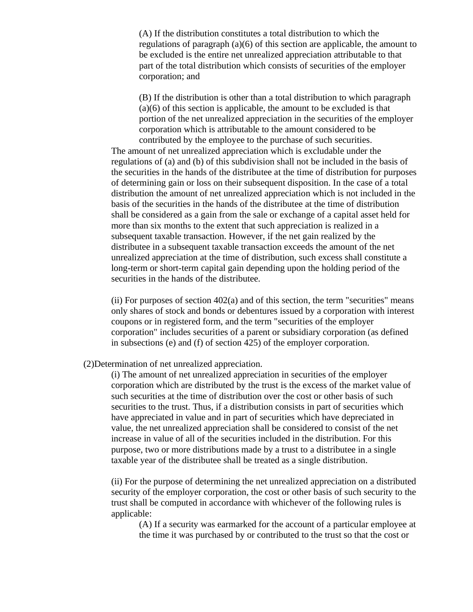(A) If the distribution constitutes a total distribution to which the regulations of paragraph (a)(6) of this section are applicable, the amount to be excluded is the entire net unrealized appreciation attributable to that part of the total distribution which consists of securities of the employer corporation; and

(B) If the distribution is other than a total distribution to which paragraph (a)(6) of this section is applicable, the amount to be excluded is that portion of the net unrealized appreciation in the securities of the employer corporation which is attributable to the amount considered to be contributed by the employee to the purchase of such securities.

The amount of net unrealized appreciation which is excludable under the regulations of (a) and (b) of this subdivision shall not be included in the basis of the securities in the hands of the distributee at the time of distribution for purposes of determining gain or loss on their subsequent disposition. In the case of a total distribution the amount of net unrealized appreciation which is not included in the basis of the securities in the hands of the distributee at the time of distribution shall be considered as a gain from the sale or exchange of a capital asset held for more than six months to the extent that such appreciation is realized in a subsequent taxable transaction. However, if the net gain realized by the distributee in a subsequent taxable transaction exceeds the amount of the net unrealized appreciation at the time of distribution, such excess shall constitute a long-term or short-term capital gain depending upon the holding period of the securities in the hands of the distributee.

 $(i)$  For purposes of section  $402(a)$  and of this section, the term "securities" means only shares of stock and bonds or debentures issued by a corporation with interest coupons or in registered form, and the term "securities of the employer corporation" includes securities of a parent or subsidiary corporation (as defined in subsections (e) and (f) of section 425) of the employer corporation.

(2)Determination of net unrealized appreciation.

(i) The amount of net unrealized appreciation in securities of the employer corporation which are distributed by the trust is the excess of the market value of such securities at the time of distribution over the cost or other basis of such securities to the trust. Thus, if a distribution consists in part of securities which have appreciated in value and in part of securities which have depreciated in value, the net unrealized appreciation shall be considered to consist of the net increase in value of all of the securities included in the distribution. For this purpose, two or more distributions made by a trust to a distributee in a single taxable year of the distributee shall be treated as a single distribution.

(ii) For the purpose of determining the net unrealized appreciation on a distributed security of the employer corporation, the cost or other basis of such security to the trust shall be computed in accordance with whichever of the following rules is applicable:

(A) If a security was earmarked for the account of a particular employee at the time it was purchased by or contributed to the trust so that the cost or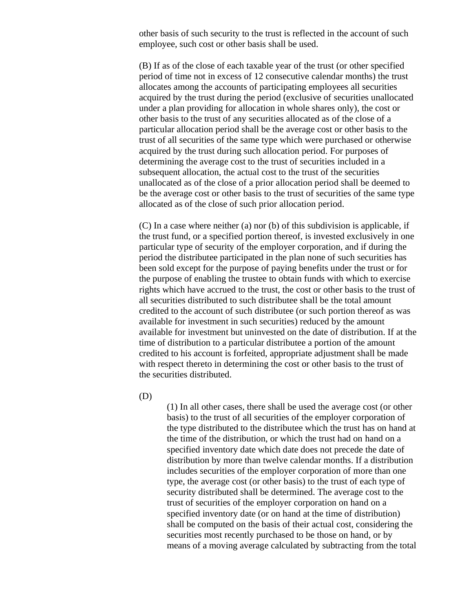other basis of such security to the trust is reflected in the account of such employee, such cost or other basis shall be used.

(B) If as of the close of each taxable year of the trust (or other specified period of time not in excess of 12 consecutive calendar months) the trust allocates among the accounts of participating employees all securities acquired by the trust during the period (exclusive of securities unallocated under a plan providing for allocation in whole shares only), the cost or other basis to the trust of any securities allocated as of the close of a particular allocation period shall be the average cost or other basis to the trust of all securities of the same type which were purchased or otherwise acquired by the trust during such allocation period. For purposes of determining the average cost to the trust of securities included in a subsequent allocation, the actual cost to the trust of the securities unallocated as of the close of a prior allocation period shall be deemed to be the average cost or other basis to the trust of securities of the same type allocated as of the close of such prior allocation period.

(C) In a case where neither (a) nor (b) of this subdivision is applicable, if the trust fund, or a specified portion thereof, is invested exclusively in one particular type of security of the employer corporation, and if during the period the distributee participated in the plan none of such securities has been sold except for the purpose of paying benefits under the trust or for the purpose of enabling the trustee to obtain funds with which to exercise rights which have accrued to the trust, the cost or other basis to the trust of all securities distributed to such distributee shall be the total amount credited to the account of such distributee (or such portion thereof as was available for investment in such securities) reduced by the amount available for investment but uninvested on the date of distribution. If at the time of distribution to a particular distributee a portion of the amount credited to his account is forfeited, appropriate adjustment shall be made with respect thereto in determining the cost or other basis to the trust of the securities distributed.

(D)

(1) In all other cases, there shall be used the average cost (or other basis) to the trust of all securities of the employer corporation of the type distributed to the distributee which the trust has on hand at the time of the distribution, or which the trust had on hand on a specified inventory date which date does not precede the date of distribution by more than twelve calendar months. If a distribution includes securities of the employer corporation of more than one type, the average cost (or other basis) to the trust of each type of security distributed shall be determined. The average cost to the trust of securities of the employer corporation on hand on a specified inventory date (or on hand at the time of distribution) shall be computed on the basis of their actual cost, considering the securities most recently purchased to be those on hand, or by means of a moving average calculated by subtracting from the total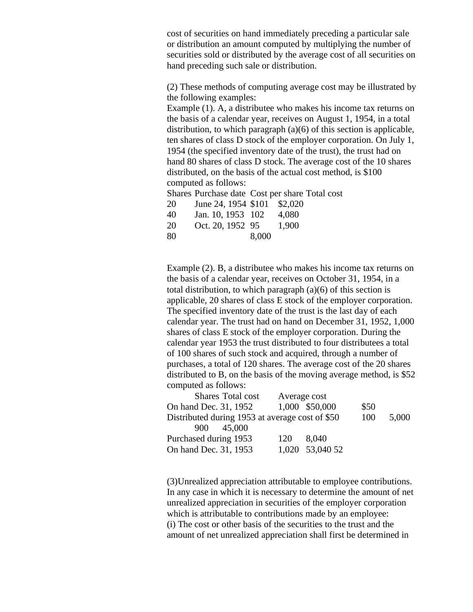cost of securities on hand immediately preceding a particular sale or distribution an amount computed by multiplying the number of securities sold or distributed by the average cost of all securities on hand preceding such sale or distribution.

(2) These methods of computing average cost may be illustrated by the following examples:

Example (1). A, a distributee who makes his income tax returns on the basis of a calendar year, receives on August 1, 1954, in a total distribution, to which paragraph (a)(6) of this section is applicable, ten shares of class D stock of the employer corporation. On July 1, 1954 (the specified inventory date of the trust), the trust had on hand 80 shares of class D stock. The average cost of the 10 shares distributed, on the basis of the actual cost method, is \$100 computed as follows:

Shares Purchase date Cost per share Total cost

| 20 | June 24, 1954 \$101 \$2,020 |       |
|----|-----------------------------|-------|
| 40 | Ian 10 1953 102             | 4.080 |

| ு  |  | $J$ and $I$ $U$ , $I$ $J$ $J$ $J$ $J$ $I$ | T,000 |
|----|--|-------------------------------------------|-------|
| 20 |  | Oct. 20, 1952 95                          | 1,900 |

80 8,000

Example (2). B, a distributee who makes his income tax returns on the basis of a calendar year, receives on October 31, 1954, in a total distribution, to which paragraph (a)(6) of this section is applicable, 20 shares of class E stock of the employer corporation. The specified inventory date of the trust is the last day of each calendar year. The trust had on hand on December 31, 1952, 1,000 shares of class E stock of the employer corporation. During the calendar year 1953 the trust distributed to four distributees a total of 100 shares of such stock and acquired, through a number of purchases, a total of 120 shares. The average cost of the 20 shares distributed to B, on the basis of the moving average method, is \$52 computed as follows:

| Shares Total cost                               | Average cost |                 |      |       |
|-------------------------------------------------|--------------|-----------------|------|-------|
| On hand Dec. 31, 1952                           |              | 1,000 \$50,000  | \$50 |       |
| Distributed during 1953 at average cost of \$50 |              |                 | 100  | 5,000 |
| 45,000<br>900                                   |              |                 |      |       |
| Purchased during 1953                           | 120          | 8.040           |      |       |
| On hand Dec. 31, 1953                           |              | 1,020 53,040 52 |      |       |

(3)Unrealized appreciation attributable to employee contributions. In any case in which it is necessary to determine the amount of net unrealized appreciation in securities of the employer corporation which is attributable to contributions made by an employee: (i) The cost or other basis of the securities to the trust and the amount of net unrealized appreciation shall first be determined in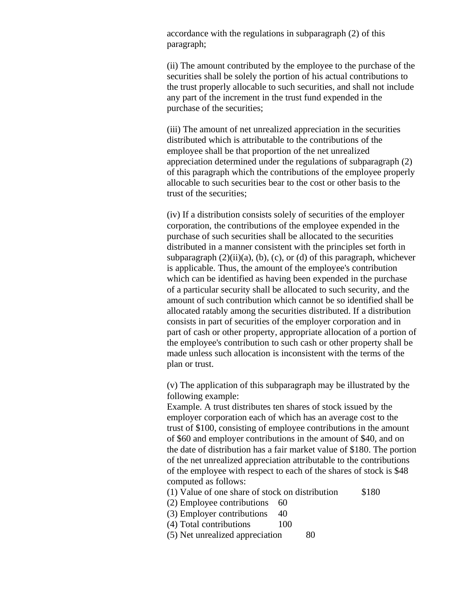accordance with the regulations in subparagraph (2) of this paragraph;

(ii) The amount contributed by the employee to the purchase of the securities shall be solely the portion of his actual contributions to the trust properly allocable to such securities, and shall not include any part of the increment in the trust fund expended in the purchase of the securities;

(iii) The amount of net unrealized appreciation in the securities distributed which is attributable to the contributions of the employee shall be that proportion of the net unrealized appreciation determined under the regulations of subparagraph (2) of this paragraph which the contributions of the employee properly allocable to such securities bear to the cost or other basis to the trust of the securities;

(iv) If a distribution consists solely of securities of the employer corporation, the contributions of the employee expended in the purchase of such securities shall be allocated to the securities distributed in a manner consistent with the principles set forth in subparagraph  $(2)(ii)(a)$ ,  $(b)$ ,  $(c)$ , or  $(d)$  of this paragraph, whichever is applicable. Thus, the amount of the employee's contribution which can be identified as having been expended in the purchase of a particular security shall be allocated to such security, and the amount of such contribution which cannot be so identified shall be allocated ratably among the securities distributed. If a distribution consists in part of securities of the employer corporation and in part of cash or other property, appropriate allocation of a portion of the employee's contribution to such cash or other property shall be made unless such allocation is inconsistent with the terms of the plan or trust.

(v) The application of this subparagraph may be illustrated by the following example:

Example. A trust distributes ten shares of stock issued by the employer corporation each of which has an average cost to the trust of \$100, consisting of employee contributions in the amount of \$60 and employer contributions in the amount of \$40, and on the date of distribution has a fair market value of \$180. The portion of the net unrealized appreciation attributable to the contributions of the employee with respect to each of the shares of stock is \$48 computed as follows:

 $(1)$  Value of one share of stock on distribution  $$180$ 

- (2) Employee contributions 60
- (3) Employer contributions 40
- (4) Total contributions 100
- (5) Net unrealized appreciation 80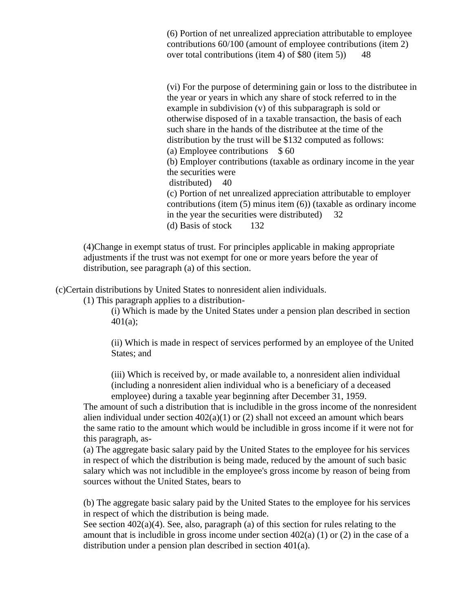(6) Portion of net unrealized appreciation attributable to employee contributions 60/100 (amount of employee contributions (item 2) over total contributions (item 4) of \$80 (item 5)) 48

(vi) For the purpose of determining gain or loss to the distributee in the year or years in which any share of stock referred to in the example in subdivision (v) of this subparagraph is sold or otherwise disposed of in a taxable transaction, the basis of each such share in the hands of the distributee at the time of the distribution by the trust will be \$132 computed as follows: (a) Employee contributions  $$60$ (b) Employer contributions (taxable as ordinary income in the year the securities were distributed) 40 (c) Portion of net unrealized appreciation attributable to employer contributions (item (5) minus item (6)) (taxable as ordinary income in the year the securities were distributed) 32 (d) Basis of stock 132

(4)Change in exempt status of trust. For principles applicable in making appropriate adjustments if the trust was not exempt for one or more years before the year of distribution, see paragraph (a) of this section.

(c)Certain distributions by United States to nonresident alien individuals.

(1) This paragraph applies to a distribution-

(i) Which is made by the United States under a pension plan described in section 401(a);

(ii) Which is made in respect of services performed by an employee of the United States; and

(iii) Which is received by, or made available to, a nonresident alien individual (including a nonresident alien individual who is a beneficiary of a deceased employee) during a taxable year beginning after December 31, 1959.

The amount of such a distribution that is includible in the gross income of the nonresident alien individual under section  $402(a)(1)$  or (2) shall not exceed an amount which bears the same ratio to the amount which would be includible in gross income if it were not for this paragraph, as-

(a) The aggregate basic salary paid by the United States to the employee for his services in respect of which the distribution is being made, reduced by the amount of such basic salary which was not includible in the employee's gross income by reason of being from sources without the United States, bears to

(b) The aggregate basic salary paid by the United States to the employee for his services in respect of which the distribution is being made.

See section 402(a)(4). See, also, paragraph (a) of this section for rules relating to the amount that is includible in gross income under section  $402(a) (1)$  or  $(2)$  in the case of a distribution under a pension plan described in section 401(a).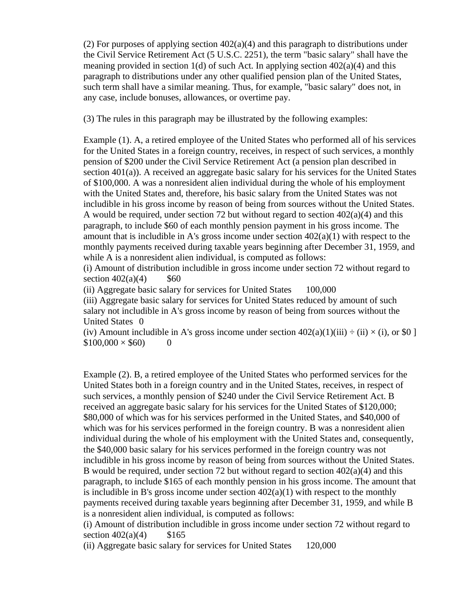(2) For purposes of applying section  $402(a)(4)$  and this paragraph to distributions under the Civil Service Retirement Act (5 U.S.C. 2251), the term "basic salary" shall have the meaning provided in section 1(d) of such Act. In applying section  $402(a)(4)$  and this paragraph to distributions under any other qualified pension plan of the United States, such term shall have a similar meaning. Thus, for example, "basic salary" does not, in any case, include bonuses, allowances, or overtime pay.

(3) The rules in this paragraph may be illustrated by the following examples:

Example (1). A, a retired employee of the United States who performed all of his services for the United States in a foreign country, receives, in respect of such services, a monthly pension of \$200 under the Civil Service Retirement Act (a pension plan described in section 401(a)). A received an aggregate basic salary for his services for the United States of \$100,000. A was a nonresident alien individual during the whole of his employment with the United States and, therefore, his basic salary from the United States was not includible in his gross income by reason of being from sources without the United States. A would be required, under section 72 but without regard to section  $402(a)(4)$  and this paragraph, to include \$60 of each monthly pension payment in his gross income. The amount that is includible in A's gross income under section  $402(a)(1)$  with respect to the monthly payments received during taxable years beginning after December 31, 1959, and while A is a nonresident alien individual, is computed as follows:

(i) Amount of distribution includible in gross income under section 72 without regard to section  $402(a)(4)$  \$60

(ii) Aggregate basic salary for services for United States 100,000

(iii) Aggregate basic salary for services for United States reduced by amount of such salary not includible in A's gross income by reason of being from sources without the United States 0

(iv) Amount includible in A's gross income under section  $402(a)(1)(iii) \div (ii) \times (i)$ , or \$0 ]  $$100,000 \times $60$  0

Example (2). B, a retired employee of the United States who performed services for the United States both in a foreign country and in the United States, receives, in respect of such services, a monthly pension of \$240 under the Civil Service Retirement Act. B received an aggregate basic salary for his services for the United States of \$120,000; \$80,000 of which was for his services performed in the United States, and \$40,000 of which was for his services performed in the foreign country. B was a nonresident alien individual during the whole of his employment with the United States and, consequently, the \$40,000 basic salary for his services performed in the foreign country was not includible in his gross income by reason of being from sources without the United States. B would be required, under section 72 but without regard to section  $402(a)(4)$  and this paragraph, to include \$165 of each monthly pension in his gross income. The amount that is includible in B's gross income under section  $402(a)(1)$  with respect to the monthly payments received during taxable years beginning after December 31, 1959, and while B is a nonresident alien individual, is computed as follows:

(i) Amount of distribution includible in gross income under section 72 without regard to section  $402(a)(4)$  \$165

(ii) Aggregate basic salary for services for United States 120,000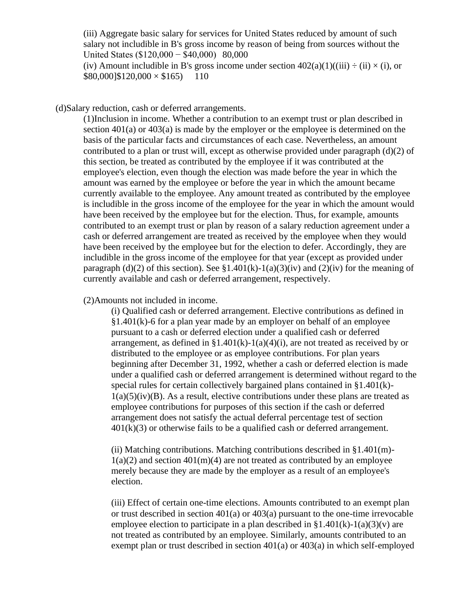(iii) Aggregate basic salary for services for United States reduced by amount of such salary not includible in B's gross income by reason of being from sources without the United States (\$120,000 − \$40,000) 80,000

(iv) Amount includible in B's gross income under section  $402(a)(1)((iii) \div (ii) \times (i)$ , or  $$80,000]$ \$120,000  $\times$  \$165) 110

(d)Salary reduction, cash or deferred arrangements.

(1)Inclusion in income. Whether a contribution to an exempt trust or plan described in section 401(a) or 403(a) is made by the employer or the employee is determined on the basis of the particular facts and circumstances of each case. Nevertheless, an amount contributed to a plan or trust will, except as otherwise provided under paragraph (d)(2) of this section, be treated as contributed by the employee if it was contributed at the employee's election, even though the election was made before the year in which the amount was earned by the employee or before the year in which the amount became currently available to the employee. Any amount treated as contributed by the employee is includible in the gross income of the employee for the year in which the amount would have been received by the employee but for the election. Thus, for example, amounts contributed to an exempt trust or plan by reason of a salary reduction agreement under a cash or deferred arrangement are treated as received by the employee when they would have been received by the employee but for the election to defer. Accordingly, they are includible in the gross income of the employee for that year (except as provided under paragraph (d)(2) of this section). See  $$1.401(k)-1(a)(3)(iv)$  and (2)(iv) for the meaning of currently available and cash or deferred arrangement, respectively.

(2)Amounts not included in income.

(i) Qualified cash or deferred arrangement. Elective contributions as defined in §1.401(k)-6 for a plan year made by an employer on behalf of an employee pursuant to a cash or deferred election under a qualified cash or deferred arrangement, as defined in  $\S1.401(k)-1(a)(4)(i)$ , are not treated as received by or distributed to the employee or as employee contributions. For plan years beginning after December 31, 1992, whether a cash or deferred election is made under a qualified cash or deferred arrangement is determined without regard to the special rules for certain collectively bargained plans contained in §1.401(k)-  $1(a)(5)(iv)(B)$ . As a result, elective contributions under these plans are treated as employee contributions for purposes of this section if the cash or deferred arrangement does not satisfy the actual deferral percentage test of section  $401(k)(3)$  or otherwise fails to be a qualified cash or deferred arrangement.

(ii) Matching contributions. Matching contributions described in §1.401(m)-  $1(a)(2)$  and section  $401(m)(4)$  are not treated as contributed by an employee merely because they are made by the employer as a result of an employee's election.

(iii) Effect of certain one-time elections. Amounts contributed to an exempt plan or trust described in section 401(a) or 403(a) pursuant to the one-time irrevocable employee election to participate in a plan described in  $\S1.401(k)$ -1(a)(3)(v) are not treated as contributed by an employee. Similarly, amounts contributed to an exempt plan or trust described in section 401(a) or 403(a) in which self-employed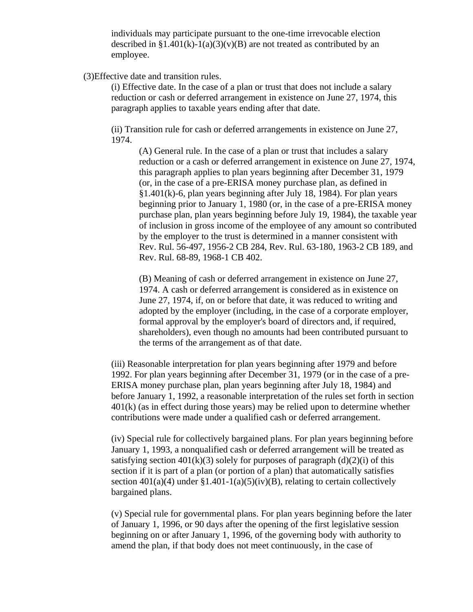individuals may participate pursuant to the one-time irrevocable election described in  $\S1.401(k)-1(a)(3)(v)(B)$  are not treated as contributed by an employee.

# (3)Effective date and transition rules.

(i) Effective date. In the case of a plan or trust that does not include a salary reduction or cash or deferred arrangement in existence on June 27, 1974, this paragraph applies to taxable years ending after that date.

(ii) Transition rule for cash or deferred arrangements in existence on June 27, 1974.

(A) General rule. In the case of a plan or trust that includes a salary reduction or a cash or deferred arrangement in existence on June 27, 1974, this paragraph applies to plan years beginning after December 31, 1979 (or, in the case of a pre-ERISA money purchase plan, as defined in §1.401(k)-6, plan years beginning after July 18, 1984). For plan years beginning prior to January 1, 1980 (or, in the case of a pre-ERISA money purchase plan, plan years beginning before July 19, 1984), the taxable year of inclusion in gross income of the employee of any amount so contributed by the employer to the trust is determined in a manner consistent with Rev. Rul. 56-497, 1956-2 CB 284, Rev. Rul. 63-180, 1963-2 CB 189, and Rev. Rul. 68-89, 1968-1 CB 402.

(B) Meaning of cash or deferred arrangement in existence on June 27, 1974. A cash or deferred arrangement is considered as in existence on June 27, 1974, if, on or before that date, it was reduced to writing and adopted by the employer (including, in the case of a corporate employer, formal approval by the employer's board of directors and, if required, shareholders), even though no amounts had been contributed pursuant to the terms of the arrangement as of that date.

(iii) Reasonable interpretation for plan years beginning after 1979 and before 1992. For plan years beginning after December 31, 1979 (or in the case of a pre-ERISA money purchase plan, plan years beginning after July 18, 1984) and before January 1, 1992, a reasonable interpretation of the rules set forth in section 401(k) (as in effect during those years) may be relied upon to determine whether contributions were made under a qualified cash or deferred arrangement.

(iv) Special rule for collectively bargained plans. For plan years beginning before January 1, 1993, a nonqualified cash or deferred arrangement will be treated as satisfying section  $401(k)(3)$  solely for purposes of paragraph  $(d)(2)(i)$  of this section if it is part of a plan (or portion of a plan) that automatically satisfies section  $401(a)(4)$  under  $$1.401-1(a)(5)(iv)(B)$ , relating to certain collectively bargained plans.

(v) Special rule for governmental plans. For plan years beginning before the later of January 1, 1996, or 90 days after the opening of the first legislative session beginning on or after January 1, 1996, of the governing body with authority to amend the plan, if that body does not meet continuously, in the case of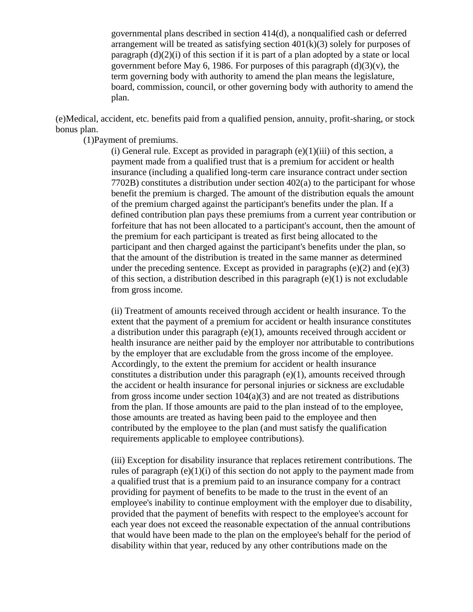governmental plans described in section 414(d), a nonqualified cash or deferred arrangement will be treated as satisfying section  $401(k)(3)$  solely for purposes of paragraph  $(d)(2)(i)$  of this section if it is part of a plan adopted by a state or local government before May 6, 1986. For purposes of this paragraph  $(d)(3)(v)$ , the term governing body with authority to amend the plan means the legislature, board, commission, council, or other governing body with authority to amend the plan.

(e)Medical, accident, etc. benefits paid from a qualified pension, annuity, profit-sharing, or stock bonus plan.

(1)Payment of premiums.

(i) General rule. Except as provided in paragraph  $(e)(1)(iii)$  of this section, a payment made from a qualified trust that is a premium for accident or health insurance (including a qualified long-term care insurance contract under section 7702B) constitutes a distribution under section 402(a) to the participant for whose benefit the premium is charged. The amount of the distribution equals the amount of the premium charged against the participant's benefits under the plan. If a defined contribution plan pays these premiums from a current year contribution or forfeiture that has not been allocated to a participant's account, then the amount of the premium for each participant is treated as first being allocated to the participant and then charged against the participant's benefits under the plan, so that the amount of the distribution is treated in the same manner as determined under the preceding sentence. Except as provided in paragraphs  $(e)(2)$  and  $(e)(3)$ of this section, a distribution described in this paragraph (e)(1) is not excludable from gross income.

(ii) Treatment of amounts received through accident or health insurance. To the extent that the payment of a premium for accident or health insurance constitutes a distribution under this paragraph  $(e)(1)$ , amounts received through accident or health insurance are neither paid by the employer nor attributable to contributions by the employer that are excludable from the gross income of the employee. Accordingly, to the extent the premium for accident or health insurance constitutes a distribution under this paragraph  $(e)(1)$ , amounts received through the accident or health insurance for personal injuries or sickness are excludable from gross income under section  $104(a)(3)$  and are not treated as distributions from the plan. If those amounts are paid to the plan instead of to the employee, those amounts are treated as having been paid to the employee and then contributed by the employee to the plan (and must satisfy the qualification requirements applicable to employee contributions).

(iii) Exception for disability insurance that replaces retirement contributions. The rules of paragraph  $(e)(1)(i)$  of this section do not apply to the payment made from a qualified trust that is a premium paid to an insurance company for a contract providing for payment of benefits to be made to the trust in the event of an employee's inability to continue employment with the employer due to disability, provided that the payment of benefits with respect to the employee's account for each year does not exceed the reasonable expectation of the annual contributions that would have been made to the plan on the employee's behalf for the period of disability within that year, reduced by any other contributions made on the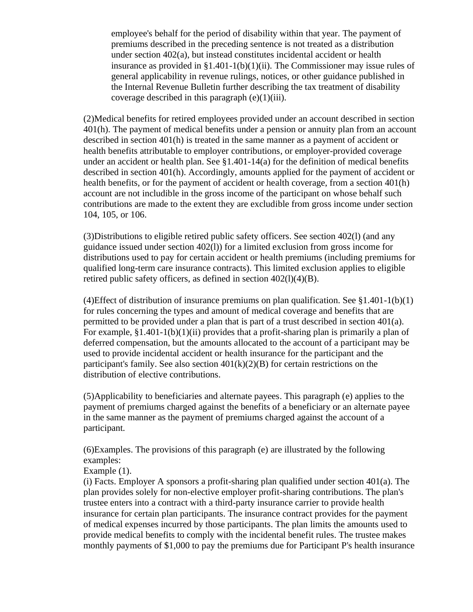employee's behalf for the period of disability within that year. The payment of premiums described in the preceding sentence is not treated as a distribution under section 402(a), but instead constitutes incidental accident or health insurance as provided in  $\S1.401-1(b)(1)(ii)$ . The Commissioner may issue rules of general applicability in revenue rulings, notices, or other guidance published in the Internal Revenue Bulletin further describing the tax treatment of disability coverage described in this paragraph  $(e)(1)(iii)$ .

(2)Medical benefits for retired employees provided under an account described in section 401(h). The payment of medical benefits under a pension or annuity plan from an account described in section 401(h) is treated in the same manner as a payment of accident or health benefits attributable to employer contributions, or employer-provided coverage under an accident or health plan. See §1.401-14(a) for the definition of medical benefits described in section 401(h). Accordingly, amounts applied for the payment of accident or health benefits, or for the payment of accident or health coverage, from a section 401(h) account are not includible in the gross income of the participant on whose behalf such contributions are made to the extent they are excludible from gross income under section 104, 105, or 106.

(3)Distributions to eligible retired public safety officers. See section 402(l) (and any guidance issued under section 402(l)) for a limited exclusion from gross income for distributions used to pay for certain accident or health premiums (including premiums for qualified long-term care insurance contracts). This limited exclusion applies to eligible retired public safety officers, as defined in section 402(l)(4)(B).

(4)Effect of distribution of insurance premiums on plan qualification. See  $\S 1.401 - 1(b)(1)$ for rules concerning the types and amount of medical coverage and benefits that are permitted to be provided under a plan that is part of a trust described in section 401(a). For example,  $$1.401-1(b)(1)(ii)$  provides that a profit-sharing plan is primarily a plan of deferred compensation, but the amounts allocated to the account of a participant may be used to provide incidental accident or health insurance for the participant and the participant's family. See also section  $401(k)(2)(B)$  for certain restrictions on the distribution of elective contributions.

(5)Applicability to beneficiaries and alternate payees. This paragraph (e) applies to the payment of premiums charged against the benefits of a beneficiary or an alternate payee in the same manner as the payment of premiums charged against the account of a participant.

(6)Examples. The provisions of this paragraph (e) are illustrated by the following examples:

Example (1).

(i) Facts. Employer A sponsors a profit-sharing plan qualified under section 401(a). The plan provides solely for non-elective employer profit-sharing contributions. The plan's trustee enters into a contract with a third-party insurance carrier to provide health insurance for certain plan participants. The insurance contract provides for the payment of medical expenses incurred by those participants. The plan limits the amounts used to provide medical benefits to comply with the incidental benefit rules. The trustee makes monthly payments of \$1,000 to pay the premiums due for Participant P's health insurance